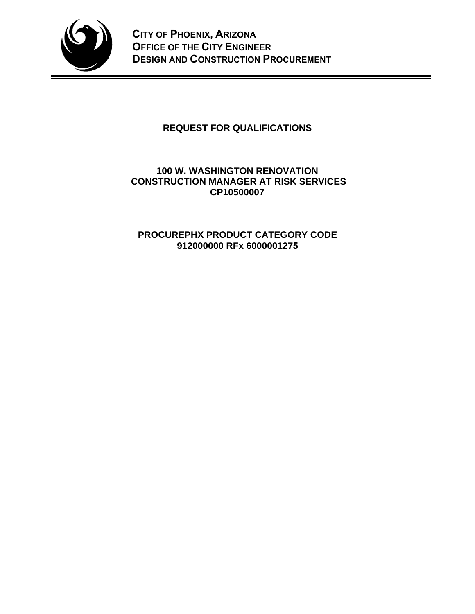

# **REQUEST FOR QUALIFICATIONS**

# **100 W. WASHINGTON RENOVATION CONSTRUCTION MANAGER AT RISK SERVICES CP10500007**

# **PROCUREPHX PRODUCT CATEGORY CODE 912000000 RFx 6000001275**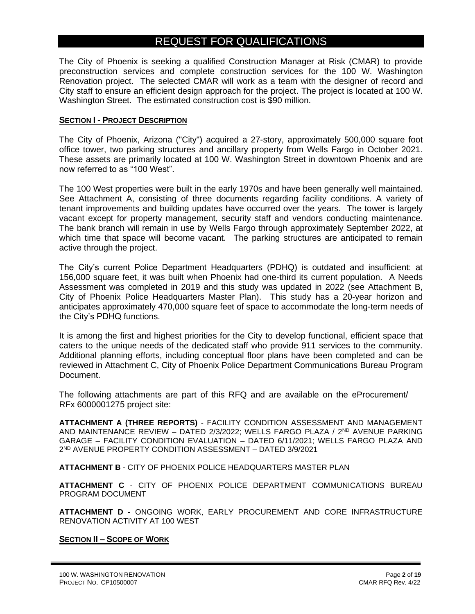# REQUEST FOR QUALIFICATIONS

The City of Phoenix is seeking a qualified Construction Manager at Risk (CMAR) to provide preconstruction services and complete construction services for the 100 W. Washington Renovation project. The selected CMAR will work as a team with the designer of record and City staff to ensure an efficient design approach for the project. The project is located at 100 W. Washington Street. The estimated construction cost is \$90 million.

#### **SECTION I - PROJECT DESCRIPTION**

The City of Phoenix, Arizona ("City") acquired a 27-story, approximately 500,000 square foot office tower, two parking structures and ancillary property from Wells Fargo in October 2021. These assets are primarily located at 100 W. Washington Street in downtown Phoenix and are now referred to as "100 West".

The 100 West properties were built in the early 1970s and have been generally well maintained. See Attachment A, consisting of three documents regarding facility conditions. A variety of tenant improvements and building updates have occurred over the years. The tower is largely vacant except for property management, security staff and vendors conducting maintenance. The bank branch will remain in use by Wells Fargo through approximately September 2022, at which time that space will become vacant. The parking structures are anticipated to remain active through the project.

The City's current Police Department Headquarters (PDHQ) is outdated and insufficient: at 156,000 square feet, it was built when Phoenix had one-third its current population. A Needs Assessment was completed in 2019 and this study was updated in 2022 (see Attachment B, City of Phoenix Police Headquarters Master Plan). This study has a 20-year horizon and anticipates approximately 470,000 square feet of space to accommodate the long-term needs of the City's PDHQ functions.

It is among the first and highest priorities for the City to develop functional, efficient space that caters to the unique needs of the dedicated staff who provide 911 services to the community. Additional planning efforts, including conceptual floor plans have been completed and can be reviewed in Attachment C, City of Phoenix Police Department Communications Bureau Program Document.

The following attachments are part of this RFQ and are available on the eProcurement/ RFx 6000001275 project site:

**ATTACHMENT A (THREE REPORTS)** - FACILITY CONDITION ASSESSMENT AND MANAGEMENT AND MAINTENANCE REVIEW – DATED 2/3/2022; WELLS FARGO PLAZA / 2ND AVENUE PARKING GARAGE – FACILITY CONDITION EVALUATION – DATED 6/11/2021; WELLS FARGO PLAZA AND 2 ND AVENUE PROPERTY CONDITION ASSESSMENT – DATED 3/9/2021

**ATTACHMENT B** - CITY OF PHOENIX POLICE HEADQUARTERS MASTER PLAN

**ATTACHMENT C** - CITY OF PHOENIX POLICE DEPARTMENT COMMUNICATIONS BUREAU PROGRAM DOCUMENT

**ATTACHMENT D -** ONGOING WORK, EARLY PROCUREMENT AND CORE INFRASTRUCTURE RENOVATION ACTIVITY AT 100 WEST

#### **SECTION II – SCOPE OF WORK**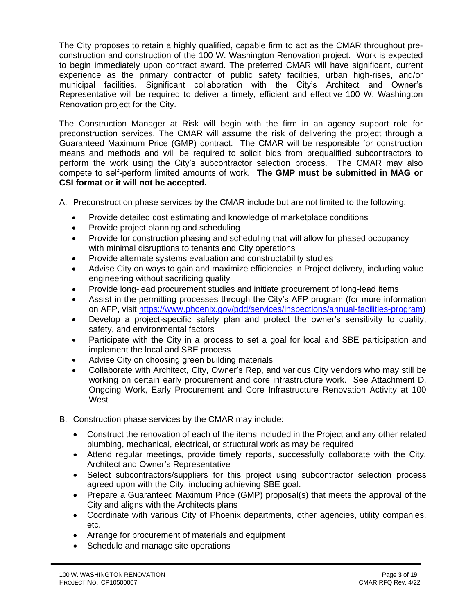The City proposes to retain a highly qualified, capable firm to act as the CMAR throughout preconstruction and construction of the 100 W. Washington Renovation project. Work is expected to begin immediately upon contract award. The preferred CMAR will have significant, current experience as the primary contractor of public safety facilities, urban high-rises, and/or municipal facilities. Significant collaboration with the City's Architect and Owner's Representative will be required to deliver a timely, efficient and effective 100 W. Washington Renovation project for the City.

The Construction Manager at Risk will begin with the firm in an agency support role for preconstruction services. The CMAR will assume the risk of delivering the project through a Guaranteed Maximum Price (GMP) contract. The CMAR will be responsible for construction means and methods and will be required to solicit bids from prequalified subcontractors to perform the work using the City's subcontractor selection process. The CMAR may also compete to self-perform limited amounts of work. **The GMP must be submitted in MAG or CSI format or it will not be accepted.**

- A. Preconstruction phase services by the CMAR include but are not limited to the following:
	- Provide detailed cost estimating and knowledge of marketplace conditions
	- Provide project planning and scheduling
	- Provide for construction phasing and scheduling that will allow for phased occupancy with minimal disruptions to tenants and City operations
	- Provide alternate systems evaluation and constructability studies
	- Advise City on ways to gain and maximize efficiencies in Project delivery, including value engineering without sacrificing quality
	- Provide long-lead procurement studies and initiate procurement of long-lead items
	- Assist in the permitting processes through the City's AFP program (for more information on AFP, visit [https://www.phoenix.gov/pdd/services/inspections/annual-facilities-program\)](https://www.phoenix.gov/pdd/services/inspections/annual-facilities-program)
	- Develop a project-specific safety plan and protect the owner's sensitivity to quality, safety, and environmental factors
	- Participate with the City in a process to set a goal for local and SBE participation and implement the local and SBE process
	- Advise City on choosing green building materials
	- Collaborate with Architect, City, Owner's Rep, and various City vendors who may still be working on certain early procurement and core infrastructure work. See Attachment D, Ongoing Work, Early Procurement and Core Infrastructure Renovation Activity at 100 West
- B. Construction phase services by the CMAR may include:
	- Construct the renovation of each of the items included in the Project and any other related plumbing, mechanical, electrical, or structural work as may be required
	- Attend regular meetings, provide timely reports, successfully collaborate with the City, Architect and Owner's Representative
	- Select subcontractors/suppliers for this project using subcontractor selection process agreed upon with the City, including achieving SBE goal.
	- Prepare a Guaranteed Maximum Price (GMP) proposal(s) that meets the approval of the City and aligns with the Architects plans
	- Coordinate with various City of Phoenix departments, other agencies, utility companies, etc.
	- Arrange for procurement of materials and equipment
	- Schedule and manage site operations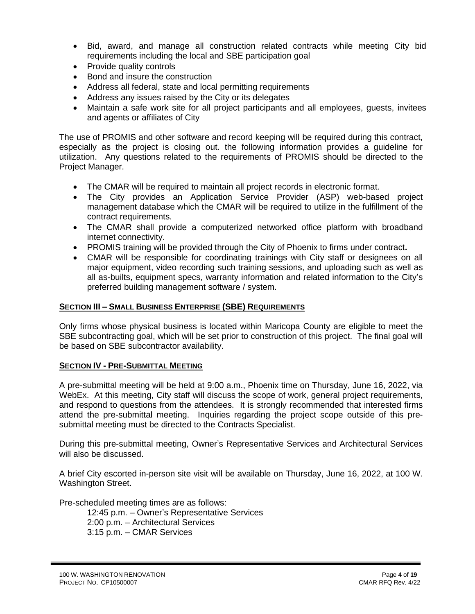- Bid, award, and manage all construction related contracts while meeting City bid requirements including the local and SBE participation goal
- Provide quality controls
- Bond and insure the construction
- Address all federal, state and local permitting requirements
- Address any issues raised by the City or its delegates
- Maintain a safe work site for all project participants and all employees, guests, invitees and agents or affiliates of City

The use of PROMIS and other software and record keeping will be required during this contract, especially as the project is closing out. the following information provides a guideline for utilization. Any questions related to the requirements of PROMIS should be directed to the Project Manager.

- The CMAR will be required to maintain all project records in electronic format.
- The City provides an Application Service Provider (ASP) web-based project management database which the CMAR will be required to utilize in the fulfillment of the contract requirements.
- The CMAR shall provide a computerized networked office platform with broadband internet connectivity.
- PROMIS training will be provided through the City of Phoenix to firms under contract**.**
- CMAR will be responsible for coordinating trainings with City staff or designees on all major equipment, video recording such training sessions, and uploading such as well as all as-builts, equipment specs, warranty information and related information to the City's preferred building management software / system.

## **SECTION III – SMALL BUSINESS ENTERPRISE (SBE) REQUIREMENTS**

Only firms whose physical business is located within Maricopa County are eligible to meet the SBE subcontracting goal, which will be set prior to construction of this project. The final goal will be based on SBE subcontractor availability.

## **SECTION IV - PRE-SUBMITTAL MEETING**

A pre-submittal meeting will be held at 9:00 a.m., Phoenix time on Thursday, June 16, 2022, via WebEx. At this meeting, City staff will discuss the scope of work, general project requirements, and respond to questions from the attendees. It is strongly recommended that interested firms attend the pre-submittal meeting. Inquiries regarding the project scope outside of this presubmittal meeting must be directed to the Contracts Specialist.

During this pre-submittal meeting, Owner's Representative Services and Architectural Services will also be discussed.

A brief City escorted in-person site visit will be available on Thursday, June 16, 2022, at 100 W. Washington Street.

Pre-scheduled meeting times are as follows:

12:45 p.m. – Owner's Representative Services 2:00 p.m. – Architectural Services 3:15 p.m. – CMAR Services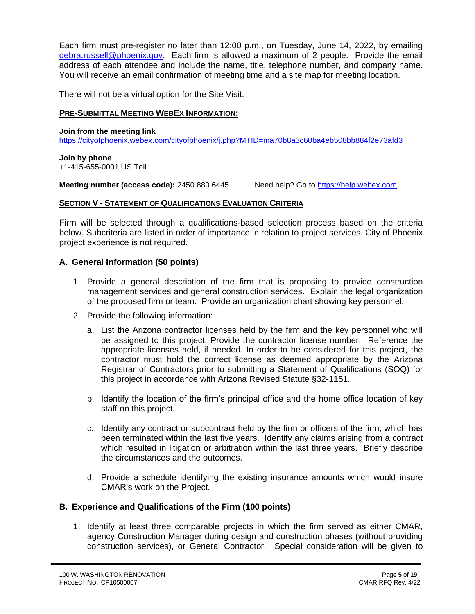Each firm must pre-register no later than 12:00 p.m., on Tuesday, June 14, 2022, by emailing [debra.russell@phoenix.gov.](mailto:debra.russell@phoenix.gov) Each firm is allowed a maximum of 2 people. Provide the email address of each attendee and include the name, title, telephone number, and company name. You will receive an email confirmation of meeting time and a site map for meeting location.

There will not be a virtual option for the Site Visit.

#### **PRE-SUBMITTAL MEETING WEBEX INFORMATION:**

**Join from the meeting link**  <https://cityofphoenix.webex.com/cityofphoenix/j.php?MTID=ma70b8a3c60ba4eb508bb884f2e73afd3>

# **Join by phone**

+1-415-655-0001 US Toll

**Meeting number (access code):** 2450 880 6445 Need help? Go to [https://help.webex.com](https://help.webex.com/)

#### **SECTION V - STATEMENT OF QUALIFICATIONS EVALUATION CRITERIA**

Firm will be selected through a qualifications-based selection process based on the criteria below. Subcriteria are listed in order of importance in relation to project services. City of Phoenix project experience is not required.

## **A. General Information (50 points)**

- 1. Provide a general description of the firm that is proposing to provide construction management services and general construction services. Explain the legal organization of the proposed firm or team. Provide an organization chart showing key personnel.
- 2. Provide the following information:
	- a. List the Arizona contractor licenses held by the firm and the key personnel who will be assigned to this project. Provide the contractor license number. Reference the appropriate licenses held, if needed. In order to be considered for this project, the contractor must hold the correct license as deemed appropriate by the Arizona Registrar of Contractors prior to submitting a Statement of Qualifications (SOQ) for this project in accordance with Arizona Revised Statute §32-1151.
	- b. Identify the location of the firm's principal office and the home office location of key staff on this project.
	- c. Identify any contract or subcontract held by the firm or officers of the firm, which has been terminated within the last five years. Identify any claims arising from a contract which resulted in litigation or arbitration within the last three years. Briefly describe the circumstances and the outcomes.
	- d. Provide a schedule identifying the existing insurance amounts which would insure CMAR's work on the Project.

## **B. Experience and Qualifications of the Firm (100 points)**

1. Identify at least three comparable projects in which the firm served as either CMAR, agency Construction Manager during design and construction phases (without providing construction services), or General Contractor. Special consideration will be given to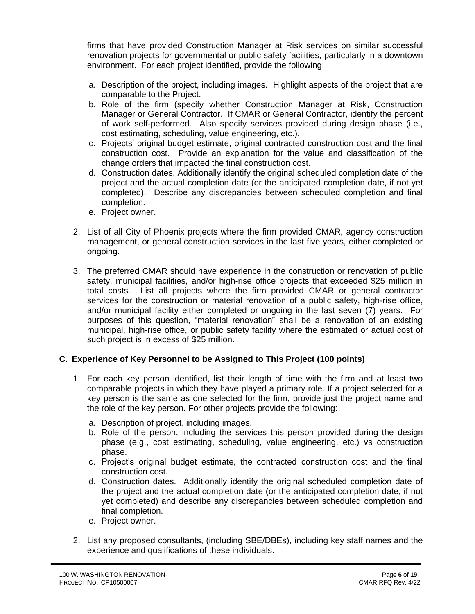firms that have provided Construction Manager at Risk services on similar successful renovation projects for governmental or public safety facilities, particularly in a downtown environment. For each project identified, provide the following:

- a. Description of the project, including images. Highlight aspects of the project that are comparable to the Project.
- b. Role of the firm (specify whether Construction Manager at Risk, Construction Manager or General Contractor. If CMAR or General Contractor, identify the percent of work self-performed. Also specify services provided during design phase (i.e., cost estimating, scheduling, value engineering, etc.).
- c. Projects' original budget estimate, original contracted construction cost and the final construction cost. Provide an explanation for the value and classification of the change orders that impacted the final construction cost.
- d. Construction dates. Additionally identify the original scheduled completion date of the project and the actual completion date (or the anticipated completion date, if not yet completed). Describe any discrepancies between scheduled completion and final completion.
- e. Project owner.
- 2. List of all City of Phoenix projects where the firm provided CMAR, agency construction management, or general construction services in the last five years, either completed or ongoing.
- 3. The preferred CMAR should have experience in the construction or renovation of public safety, municipal facilities, and/or high-rise office projects that exceeded \$25 million in total costs. List all projects where the firm provided CMAR or general contractor services for the construction or material renovation of a public safety, high-rise office, and/or municipal facility either completed or ongoing in the last seven (7) years. For purposes of this question, "material renovation" shall be a renovation of an existing municipal, high-rise office, or public safety facility where the estimated or actual cost of such project is in excess of \$25 million.

## **C. Experience of Key Personnel to be Assigned to This Project (100 points)**

- 1. For each key person identified, list their length of time with the firm and at least two comparable projects in which they have played a primary role. If a project selected for a key person is the same as one selected for the firm, provide just the project name and the role of the key person. For other projects provide the following:
	- a. Description of project, including images.
	- b. Role of the person, including the services this person provided during the design phase (e.g., cost estimating, scheduling, value engineering, etc.) vs construction phase.
	- c. Project's original budget estimate, the contracted construction cost and the final construction cost.
	- d. Construction dates. Additionally identify the original scheduled completion date of the project and the actual completion date (or the anticipated completion date, if not yet completed) and describe any discrepancies between scheduled completion and final completion.
	- e. Project owner.
- 2. List any proposed consultants, (including SBE/DBEs), including key staff names and the experience and qualifications of these individuals.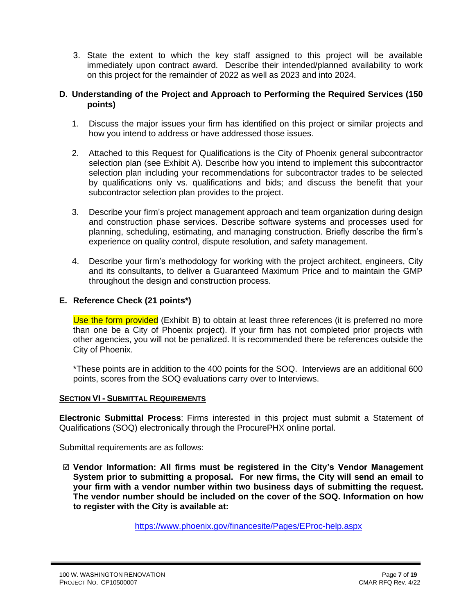3. State the extent to which the key staff assigned to this project will be available immediately upon contract award. Describe their intended/planned availability to work on this project for the remainder of 2022 as well as 2023 and into 2024.

## **D. Understanding of the Project and Approach to Performing the Required Services (150 points)**

- 1. Discuss the major issues your firm has identified on this project or similar projects and how you intend to address or have addressed those issues.
- 2. Attached to this Request for Qualifications is the City of Phoenix general subcontractor selection plan (see Exhibit A). Describe how you intend to implement this subcontractor selection plan including your recommendations for subcontractor trades to be selected by qualifications only vs. qualifications and bids; and discuss the benefit that your subcontractor selection plan provides to the project.
- 3. Describe your firm's project management approach and team organization during design and construction phase services. Describe software systems and processes used for planning, scheduling, estimating, and managing construction. Briefly describe the firm's experience on quality control, dispute resolution, and safety management.
- 4. Describe your firm's methodology for working with the project architect, engineers, City and its consultants, to deliver a Guaranteed Maximum Price and to maintain the GMP throughout the design and construction process.

## **E. Reference Check (21 points\*)**

Use the form provided (Exhibit B) to obtain at least three references (it is preferred no more than one be a City of Phoenix project). If your firm has not completed prior projects with other agencies, you will not be penalized. It is recommended there be references outside the City of Phoenix.

\*These points are in addition to the 400 points for the SOQ. Interviews are an additional 600 points, scores from the SOQ evaluations carry over to Interviews.

## **SECTION VI - SUBMITTAL REQUIREMENTS**

**Electronic Submittal Process**: Firms interested in this project must submit a Statement of Qualifications (SOQ) electronically through the ProcurePHX online portal.

Submittal requirements are as follows:

 **Vendor Information: All firms must be registered in the City's Vendor Management System prior to submitting a proposal. For new firms, the City will send an email to your firm with a vendor number within two business days of submitting the request. The vendor number should be included on the cover of the SOQ. Information on how to register with the City is available at:** 

<https://www.phoenix.gov/financesite/Pages/EProc-help.aspx>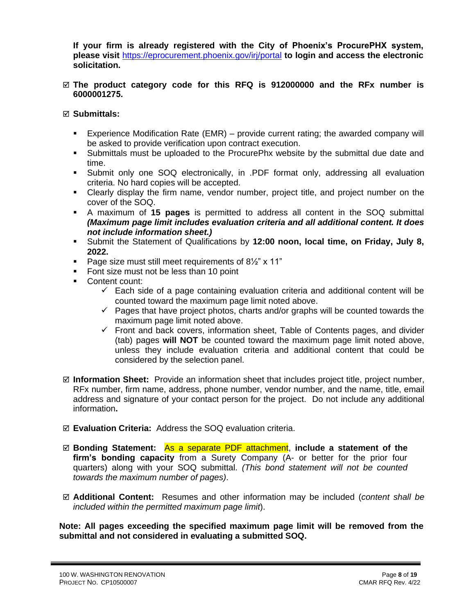**If your firm is already registered with the City of Phoenix's ProcurePHX system, please visit** <https://eprocurement.phoenix.gov/irj/portal> **to login and access the electronic solicitation.**

#### **The product category code for this RFQ is 912000000 and the RFx number is 6000001275.**

## **Submittals:**

- **Experience Modification Rate (EMR)** provide current rating; the awarded company will be asked to provide verification upon contract execution.
- Submittals must be uploaded to the ProcurePhx website by the submittal due date and time.
- Submit only one SOQ electronically, in .PDF format only, addressing all evaluation criteria. No hard copies will be accepted.
- Clearly display the firm name, vendor number, project title, and project number on the cover of the SOQ.
- A maximum of **15 pages** is permitted to address all content in the SOQ submittal *(Maximum page limit includes evaluation criteria and all additional content. It does not include information sheet.)*
- Submit the Statement of Qualifications by **12:00 noon, local time, on Friday, July 8, 2022.**
- Page size must still meet requirements of  $8\frac{1}{2}$ " x 11"
- Font size must not be less than 10 point
- Content count:
	- $\checkmark$  Each side of a page containing evaluation criteria and additional content will be counted toward the maximum page limit noted above.
	- $\checkmark$  Pages that have project photos, charts and/or graphs will be counted towards the maximum page limit noted above.
	- $\checkmark$  Front and back covers, information sheet, Table of Contents pages, and divider (tab) pages **will NOT** be counted toward the maximum page limit noted above, unless they include evaluation criteria and additional content that could be considered by the selection panel.
- **Information Sheet:** Provide an information sheet that includes project title, project number, RFx number, firm name, address, phone number, vendor number, and the name, title, email address and signature of your contact person for the project. Do not include any additional information**.**
- **Evaluation Criteria:** Address the SOQ evaluation criteria.
- **Bonding Statement:** As a separate PDF attachment, **include a statement of the firm's bonding capacity** from a Surety Company (A- or better for the prior four quarters) along with your SOQ submittal. *(This bond statement will not be counted towards the maximum number of pages)*.
- **Additional Content:** Resumes and other information may be included (*content shall be included within the permitted maximum page limit*).

**Note: All pages exceeding the specified maximum page limit will be removed from the submittal and not considered in evaluating a submitted SOQ.**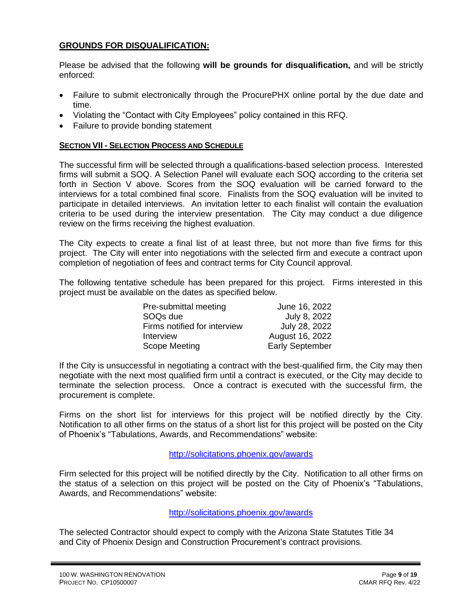## **GROUNDS FOR DISQUALIFICATION:**

Please be advised that the following **will be grounds for disqualification,** and will be strictly enforced:

- Failure to submit electronically through the ProcurePHX online portal by the due date and time.
- Violating the "Contact with City Employees" policy contained in this RFQ.
- Failure to provide bonding statement

## **SECTION VII - SELECTION PROCESS AND SCHEDULE**

The successful firm will be selected through a qualifications-based selection process. Interested firms will submit a SOQ. A Selection Panel will evaluate each SOQ according to the criteria set forth in Section V above. Scores from the SOQ evaluation will be carried forward to the interviews for a total combined final score. Finalists from the SOQ evaluation will be invited to participate in detailed interviews. An invitation letter to each finalist will contain the evaluation criteria to be used during the interview presentation. The City may conduct a due diligence review on the firms receiving the highest evaluation.

The City expects to create a final list of at least three, but not more than five firms for this project. The City will enter into negotiations with the selected firm and execute a contract upon completion of negotiation of fees and contract terms for City Council approval.

The following tentative schedule has been prepared for this project. Firms interested in this project must be available on the dates as specified below.

| Pre-submittal meeting        | June 16, 2022          |
|------------------------------|------------------------|
| SOQ <sub>s</sub> due         | July 8, 2022           |
| Firms notified for interview | July 28, 2022          |
| Interview                    | August 16, 2022        |
| Scope Meeting                | <b>Early September</b> |

If the City is unsuccessful in negotiating a contract with the best-qualified firm, the City may then negotiate with the next most qualified firm until a contract is executed, or the City may decide to terminate the selection process. Once a contract is executed with the successful firm, the procurement is complete.

Firms on the short list for interviews for this project will be notified directly by the City. Notification to all other firms on the status of a short list for this project will be posted on the City of Phoenix's "Tabulations, Awards, and Recommendations" website:

## http://solicitations.phoenix.gov/awards

Firm selected for this project will be notified directly by the City. Notification to all other firms on the status of a selection on this project will be posted on the City of Phoenix's "Tabulations, Awards, and Recommendations" website:

#### <http://solicitations.phoenix.gov/awards>

The selected Contractor should expect to comply with the Arizona State Statutes Title 34 and City of Phoenix Design and Construction Procurement's contract provisions.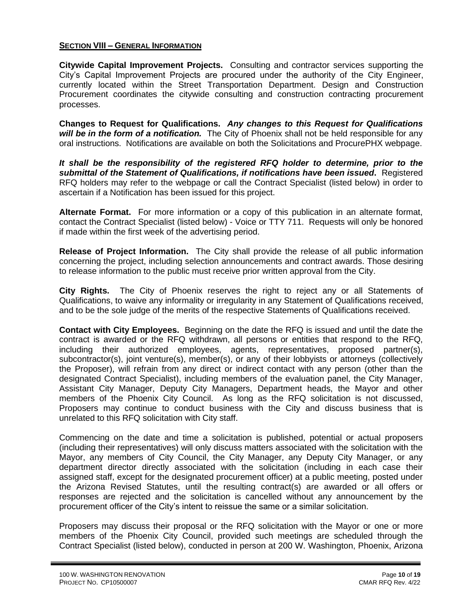## **SECTION VIII – GENERAL INFORMATION**

**Citywide Capital Improvement Projects.** Consulting and contractor services supporting the City's Capital Improvement Projects are procured under the authority of the City Engineer, currently located within the Street Transportation Department. Design and Construction Procurement coordinates the citywide consulting and construction contracting procurement processes.

**Changes to Request for Qualifications.** *Any changes to this Request for Qualifications will be in the form of a notification.* The City of Phoenix shall not be held responsible for any oral instructions. Notifications are available on both the Solicitations and ProcurePHX webpage.

*It shall be the responsibility of the registered RFQ holder to determine, prior to the submittal of the Statement of Qualifications, if notifications have been issued***.** Registered RFQ holders may refer to the webpage or call the Contract Specialist (listed below) in order to ascertain if a Notification has been issued for this project.

**Alternate Format.** For more information or a copy of this publication in an alternate format, contact the Contract Specialist (listed below) - Voice or TTY 711. Requests will only be honored if made within the first week of the advertising period.

**Release of Project Information.** The City shall provide the release of all public information concerning the project, including selection announcements and contract awards. Those desiring to release information to the public must receive prior written approval from the City.

**City Rights.** The City of Phoenix reserves the right to reject any or all Statements of Qualifications, to waive any informality or irregularity in any Statement of Qualifications received, and to be the sole judge of the merits of the respective Statements of Qualifications received.

**Contact with City Employees.** Beginning on the date the RFQ is issued and until the date the contract is awarded or the RFQ withdrawn, all persons or entities that respond to the RFQ, including their authorized employees, agents, representatives, proposed partner(s), subcontractor(s), joint venture(s), member(s), or any of their lobbyists or attorneys (collectively the Proposer), will refrain from any direct or indirect contact with any person (other than the designated Contract Specialist), including members of the evaluation panel, the City Manager, Assistant City Manager, Deputy City Managers, Department heads, the Mayor and other members of the Phoenix City Council. As long as the RFQ solicitation is not discussed, Proposers may continue to conduct business with the City and discuss business that is unrelated to this RFQ solicitation with City staff.

Commencing on the date and time a solicitation is published, potential or actual proposers (including their representatives) will only discuss matters associated with the solicitation with the Mayor, any members of City Council, the City Manager, any Deputy City Manager, or any department director directly associated with the solicitation (including in each case their assigned staff, except for the designated procurement officer) at a public meeting, posted under the Arizona Revised Statutes, until the resulting contract(s) are awarded or all offers or responses are rejected and the solicitation is cancelled without any announcement by the procurement officer of the City's intent to reissue the same or a similar solicitation.

Proposers may discuss their proposal or the RFQ solicitation with the Mayor or one or more members of the Phoenix City Council, provided such meetings are scheduled through the Contract Specialist (listed below), conducted in person at 200 W. Washington, Phoenix, Arizona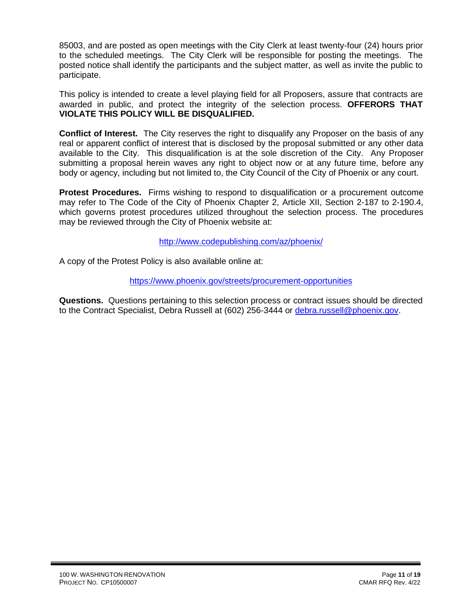85003, and are posted as open meetings with the City Clerk at least twenty-four (24) hours prior to the scheduled meetings. The City Clerk will be responsible for posting the meetings. The posted notice shall identify the participants and the subject matter, as well as invite the public to participate.

This policy is intended to create a level playing field for all Proposers, assure that contracts are awarded in public, and protect the integrity of the selection process. **OFFERORS THAT VIOLATE THIS POLICY WILL BE DISQUALIFIED.**

**Conflict of Interest.** The City reserves the right to disqualify any Proposer on the basis of any real or apparent conflict of interest that is disclosed by the proposal submitted or any other data available to the City. This disqualification is at the sole discretion of the City. Any Proposer submitting a proposal herein waves any right to object now or at any future time, before any body or agency, including but not limited to, the City Council of the City of Phoenix or any court.

**Protest Procedures.** Firms wishing to respond to disqualification or a procurement outcome may refer to The Code of the City of Phoenix Chapter 2, Article XII, Section 2-187 to 2-190.4, which governs protest procedures utilized throughout the selection process. The procedures may be reviewed through the City of Phoenix website at:

<http://www.codepublishing.com/az/phoenix/>

A copy of the Protest Policy is also available online at:

<https://www.phoenix.gov/streets/procurement-opportunities>

**Questions.** Questions pertaining to this selection process or contract issues should be directed to the Contract Specialist, Debra Russell at (602) 256-3444 or [debra.russell@phoenix.gov.](mailto:debra.russell@phoenix.gov)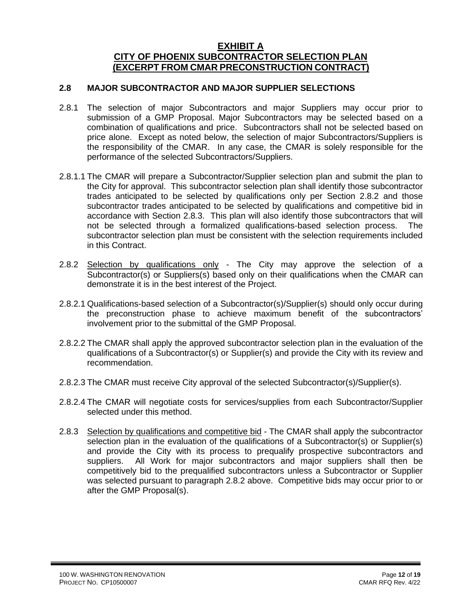## **EXHIBIT A CITY OF PHOENIX SUBCONTRACTOR SELECTION PLAN (EXCERPT FROM CMAR PRECONSTRUCTION CONTRACT)**

#### **2.8 MAJOR SUBCONTRACTOR AND MAJOR SUPPLIER SELECTIONS**

- 2.8.1 The selection of major Subcontractors and major Suppliers may occur prior to submission of a GMP Proposal. Major Subcontractors may be selected based on a combination of qualifications and price. Subcontractors shall not be selected based on price alone. Except as noted below, the selection of major Subcontractors/Suppliers is the responsibility of the CMAR. In any case, the CMAR is solely responsible for the performance of the selected Subcontractors/Suppliers.
- 2.8.1.1 The CMAR will prepare a Subcontractor/Supplier selection plan and submit the plan to the City for approval. This subcontractor selection plan shall identify those subcontractor trades anticipated to be selected by qualifications only per Section 2.8.2 and those subcontractor trades anticipated to be selected by qualifications and competitive bid in accordance with Section 2.8.3. This plan will also identify those subcontractors that will not be selected through a formalized qualifications-based selection process. The subcontractor selection plan must be consistent with the selection requirements included in this Contract.
- 2.8.2 Selection by qualifications only The City may approve the selection of a Subcontractor(s) or Suppliers(s) based only on their qualifications when the CMAR can demonstrate it is in the best interest of the Project.
- 2.8.2.1 Qualifications-based selection of a Subcontractor(s)/Supplier(s) should only occur during the preconstruction phase to achieve maximum benefit of the subcontractors' involvement prior to the submittal of the GMP Proposal.
- 2.8.2.2 The CMAR shall apply the approved subcontractor selection plan in the evaluation of the qualifications of a Subcontractor(s) or Supplier(s) and provide the City with its review and recommendation.
- 2.8.2.3 The CMAR must receive City approval of the selected Subcontractor(s)/Supplier(s).
- 2.8.2.4 The CMAR will negotiate costs for services/supplies from each Subcontractor/Supplier selected under this method.
- 2.8.3 Selection by qualifications and competitive bid The CMAR shall apply the subcontractor selection plan in the evaluation of the qualifications of a Subcontractor(s) or Supplier(s) and provide the City with its process to prequalify prospective subcontractors and suppliers. All Work for major subcontractors and major suppliers shall then be competitively bid to the prequalified subcontractors unless a Subcontractor or Supplier was selected pursuant to paragraph 2.8.2 above. Competitive bids may occur prior to or after the GMP Proposal(s).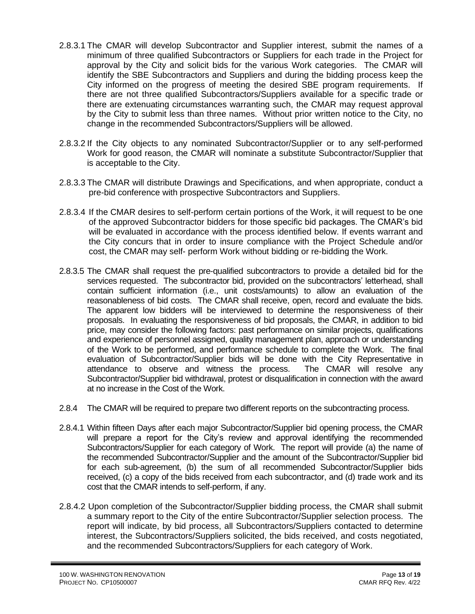- 2.8.3.1 The CMAR will develop Subcontractor and Supplier interest, submit the names of a minimum of three qualified Subcontractors or Suppliers for each trade in the Project for approval by the City and solicit bids for the various Work categories. The CMAR will identify the SBE Subcontractors and Suppliers and during the bidding process keep the City informed on the progress of meeting the desired SBE program requirements. If there are not three qualified Subcontractors/Suppliers available for a specific trade or there are extenuating circumstances warranting such, the CMAR may request approval by the City to submit less than three names. Without prior written notice to the City, no change in the recommended Subcontractors/Suppliers will be allowed.
- 2.8.3.2 If the City objects to any nominated Subcontractor/Supplier or to any self-performed Work for good reason, the CMAR will nominate a substitute Subcontractor/Supplier that is acceptable to the City.
- 2.8.3.3 The CMAR will distribute Drawings and Specifications, and when appropriate, conduct a pre-bid conference with prospective Subcontractors and Suppliers.
- 2.8.3.4 If the CMAR desires to self-perform certain portions of the Work, it will request to be one of the approved Subcontractor bidders for those specific bid packages. The CMAR's bid will be evaluated in accordance with the process identified below. If events warrant and the City concurs that in order to insure compliance with the Project Schedule and/or cost, the CMAR may self- perform Work without bidding or re-bidding the Work.
- 2.8.3.5 The CMAR shall request the pre-qualified subcontractors to provide a detailed bid for the services requested. The subcontractor bid, provided on the subcontractors' letterhead, shall contain sufficient information (i.e., unit costs/amounts) to allow an evaluation of the reasonableness of bid costs. The CMAR shall receive, open, record and evaluate the bids. The apparent low bidders will be interviewed to determine the responsiveness of their proposals. In evaluating the responsiveness of bid proposals, the CMAR, in addition to bid price, may consider the following factors: past performance on similar projects, qualifications and experience of personnel assigned, quality management plan, approach or understanding of the Work to be performed, and performance schedule to complete the Work. The final evaluation of Subcontractor/Supplier bids will be done with the City Representative in attendance to observe and witness the process. The CMAR will resolve any Subcontractor/Supplier bid withdrawal, protest or disqualification in connection with the award at no increase in the Cost of the Work.
- 2.8.4 The CMAR will be required to prepare two different reports on the subcontracting process.
- 2.8.4.1 Within fifteen Days after each major Subcontractor/Supplier bid opening process, the CMAR will prepare a report for the City's review and approval identifying the recommended Subcontractors/Supplier for each category of Work. The report will provide (a) the name of the recommended Subcontractor/Supplier and the amount of the Subcontractor/Supplier bid for each sub-agreement, (b) the sum of all recommended Subcontractor/Supplier bids received, (c) a copy of the bids received from each subcontractor, and (d) trade work and its cost that the CMAR intends to self-perform, if any.
- 2.8.4.2 Upon completion of the Subcontractor/Supplier bidding process, the CMAR shall submit a summary report to the City of the entire Subcontractor/Supplier selection process. The report will indicate, by bid process, all Subcontractors/Suppliers contacted to determine interest, the Subcontractors/Suppliers solicited, the bids received, and costs negotiated, and the recommended Subcontractors/Suppliers for each category of Work.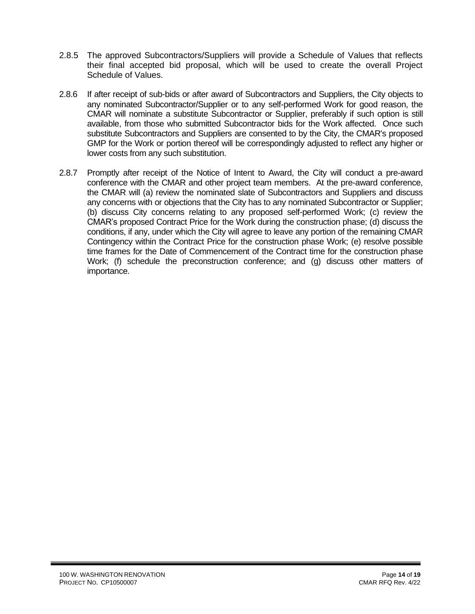- 2.8.5 The approved Subcontractors/Suppliers will provide a Schedule of Values that reflects their final accepted bid proposal, which will be used to create the overall Project Schedule of Values.
- 2.8.6 If after receipt of sub-bids or after award of Subcontractors and Suppliers, the City objects to any nominated Subcontractor/Supplier or to any self-performed Work for good reason, the CMAR will nominate a substitute Subcontractor or Supplier, preferably if such option is still available, from those who submitted Subcontractor bids for the Work affected. Once such substitute Subcontractors and Suppliers are consented to by the City, the CMAR's proposed GMP for the Work or portion thereof will be correspondingly adjusted to reflect any higher or lower costs from any such substitution.
- 2.8.7 Promptly after receipt of the Notice of Intent to Award, the City will conduct a pre-award conference with the CMAR and other project team members. At the pre-award conference, the CMAR will (a) review the nominated slate of Subcontractors and Suppliers and discuss any concerns with or objections that the City has to any nominated Subcontractor or Supplier; (b) discuss City concerns relating to any proposed self-performed Work; (c) review the CMAR's proposed Contract Price for the Work during the construction phase; (d) discuss the conditions, if any, under which the City will agree to leave any portion of the remaining CMAR Contingency within the Contract Price for the construction phase Work; (e) resolve possible time frames for the Date of Commencement of the Contract time for the construction phase Work; (f) schedule the preconstruction conference; and (g) discuss other matters of importance.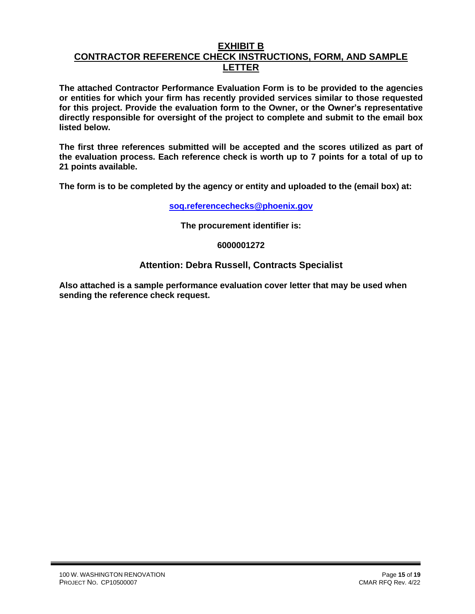## **EXHIBIT B**

# **CONTRACTOR REFERENCE CHECK INSTRUCTIONS, FORM, AND SAMPLE LETTER**

**The attached Contractor Performance Evaluation Form is to be provided to the agencies or entities for which your firm has recently provided services similar to those requested for this project. Provide the evaluation form to the Owner, or the Owner's representative directly responsible for oversight of the project to complete and submit to the email box listed below.**

**The first three references submitted will be accepted and the scores utilized as part of the evaluation process. Each reference check is worth up to 7 points for a total of up to 21 points available.**

**The form is to be completed by the agency or entity and uploaded to the (email box) at:** 

**[soq.referencechecks@phoenix.gov](mailto:soq.referencechecks@phoenix.gov)**

**The procurement identifier is:**

## **6000001272**

## **Attention: Debra Russell, Contracts Specialist**

**Also attached is a sample performance evaluation cover letter that may be used when sending the reference check request.**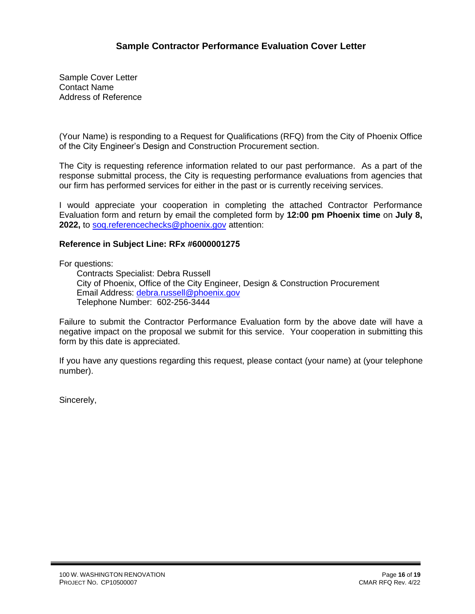Sample Cover Letter Contact Name Address of Reference

(Your Name) is responding to a Request for Qualifications (RFQ) from the City of Phoenix Office of the City Engineer's Design and Construction Procurement section.

The City is requesting reference information related to our past performance. As a part of the response submittal process, the City is requesting performance evaluations from agencies that our firm has performed services for either in the past or is currently receiving services.

I would appreciate your cooperation in completing the attached Contractor Performance Evaluation form and return by email the completed form by **12:00 pm Phoenix time** on **July 8, 2022,** t[o soq.referencechecks@phoenix.gov](mailto:soq.referencechecks@phoenix.gov) attention:

## **Reference in Subject Line: RFx #6000001275**

For questions:

Contracts Specialist: Debra Russell City of Phoenix, Office of the City Engineer, Design & Construction Procurement Email Address: [debra.russell@phoenix.gov](mailto:debra.russell@phoenix.gov) Telephone Number: 602-256-3444

Failure to submit the Contractor Performance Evaluation form by the above date will have a negative impact on the proposal we submit for this service. Your cooperation in submitting this form by this date is appreciated.

If you have any questions regarding this request, please contact (your name) at (your telephone number).

Sincerely,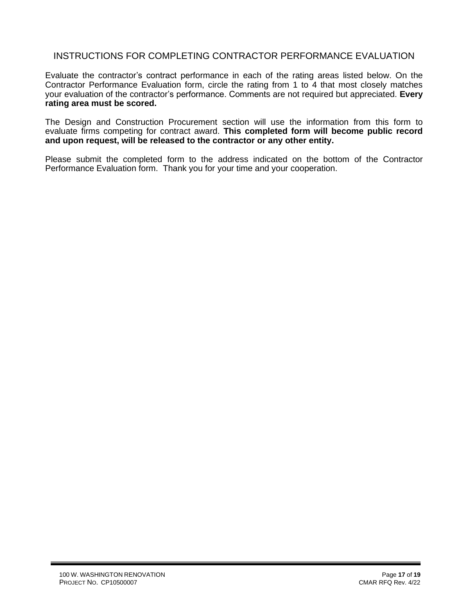## INSTRUCTIONS FOR COMPLETING CONTRACTOR PERFORMANCE EVALUATION

Evaluate the contractor's contract performance in each of the rating areas listed below. On the Contractor Performance Evaluation form, circle the rating from 1 to 4 that most closely matches your evaluation of the contractor's performance. Comments are not required but appreciated. **Every rating area must be scored.** 

The Design and Construction Procurement section will use the information from this form to evaluate firms competing for contract award. **This completed form will become public record and upon request, will be released to the contractor or any other entity.**

Please submit the completed form to the address indicated on the bottom of the Contractor Performance Evaluation form. Thank you for your time and your cooperation.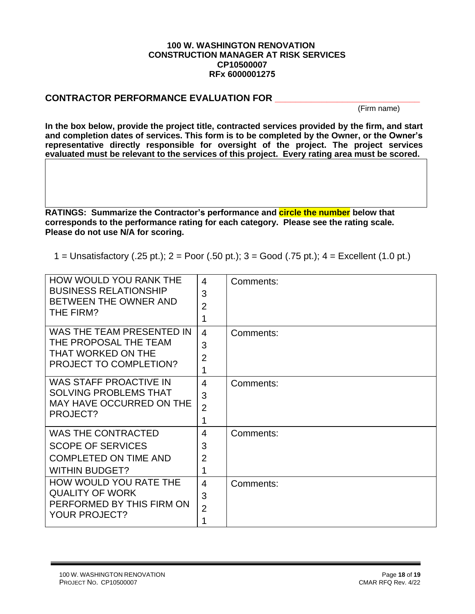#### **100 W. WASHINGTON RENOVATION CONSTRUCTION MANAGER AT RISK SERVICES CP10500007 RFx 6000001275**

## **CONTRACTOR PERFORMANCE EVALUATION FOR \_\_\_\_\_\_\_\_\_\_\_\_\_\_\_\_\_\_\_\_\_\_\_\_\_\_\_\_**

(Firm name)

**In the box below, provide the project title, contracted services provided by the firm, and start and completion dates of services. This form is to be completed by the Owner, or the Owner's representative directly responsible for oversight of the project. The project services evaluated must be relevant to the services of this project. Every rating area must be scored.** 

**RATINGS: Summarize the Contractor's performance and circle the number below that corresponds to the performance rating for each category. Please see the rating scale. Please do not use N/A for scoring.**

1 = Unsatisfactory (.25 pt.); 2 = Poor (.50 pt.); 3 = Good (.75 pt.); 4 = Excellent (1.0 pt.)

| HOW WOULD YOU RANK THE<br><b>BUSINESS RELATIONSHIP</b><br>BETWEEN THE OWNER AND<br>THE FIRM?                   | 4<br>3<br>$\overline{2}$<br>1              | Comments: |
|----------------------------------------------------------------------------------------------------------------|--------------------------------------------|-----------|
| WAS THE TEAM PRESENTED IN<br>THE PROPOSAL THE TEAM<br>THAT WORKED ON THE<br>PROJECT TO COMPLETION?             | $\overline{4}$<br>3<br>2<br>1              | Comments: |
| WAS STAFF PROACTIVE IN<br><b>SOLVING PROBLEMS THAT</b><br>MAY HAVE OCCURRED ON THE<br>PROJECT?                 | $\overline{4}$<br>3<br>$\overline{2}$<br>1 | Comments: |
| <b>WAS THE CONTRACTED</b><br><b>SCOPE OF SERVICES</b><br><b>COMPLETED ON TIME AND</b><br><b>WITHIN BUDGET?</b> | 4<br>3<br>2<br>1                           | Comments: |
| HOW WOULD YOU RATE THE<br><b>QUALITY OF WORK</b><br>PERFORMED BY THIS FIRM ON<br><b>YOUR PROJECT?</b>          | 4<br>3<br>$\overline{2}$<br>1              | Comments: |